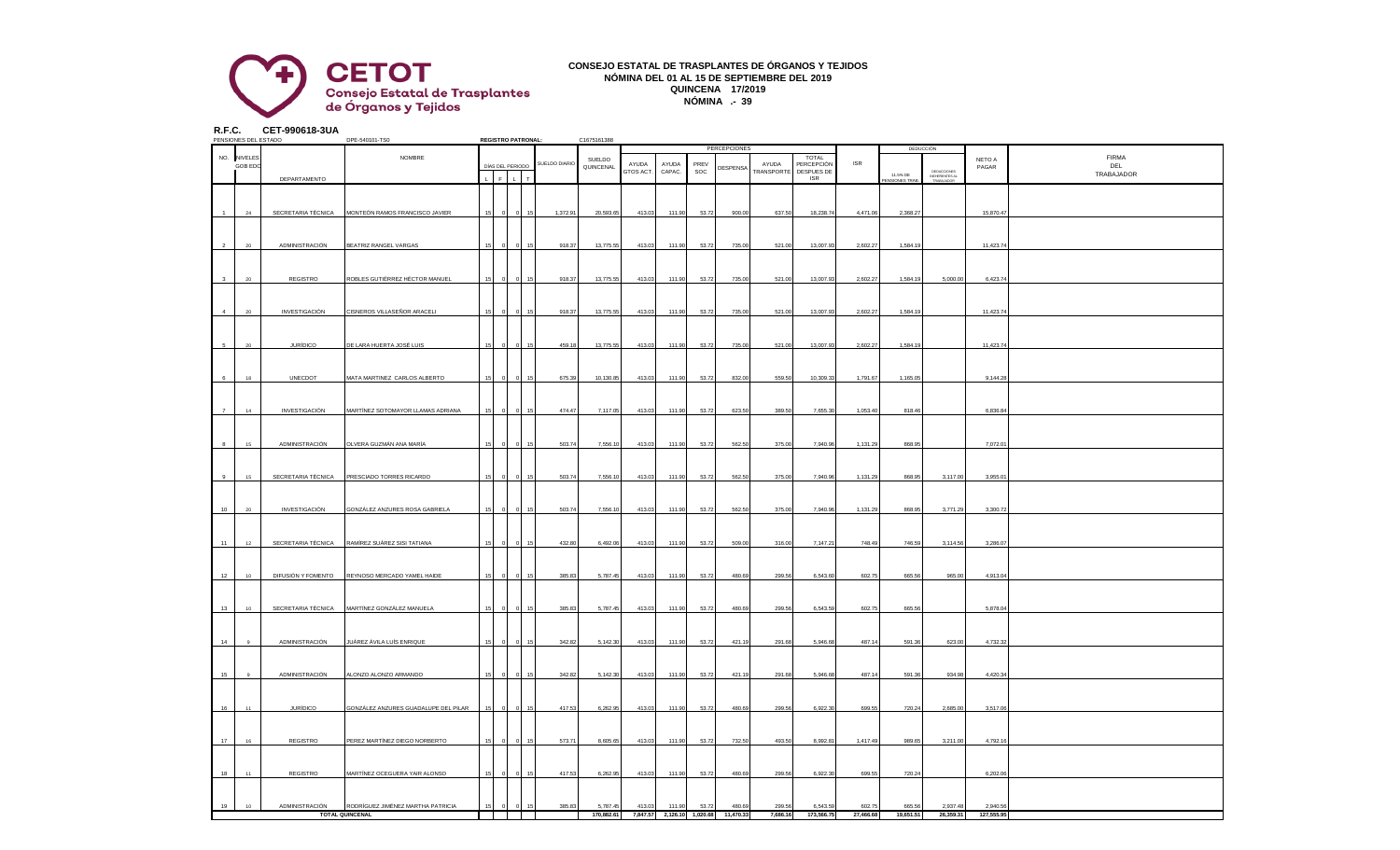

## **CONSEJO ESTATAL DE TRASPLANTES DE ÓRGANOS Y TEJIDOS NÓMINA DEL 01 AL 15 DE SEPTIEMBRE DEL 2019 QUINCENA 17/2019 NÓMINA .- 39**

**R.F.C. CET-990618-3UA**

|                | PENSIONES DEL ESTADO |                    | DPE-540101-TS0                                              |    |              | <b>REGISTRO PATRONAL:</b> |               | C1675161388            |           |                                      |       |                     |                    |                            |                     |                           |                                             |                        |              |
|----------------|----------------------|--------------------|-------------------------------------------------------------|----|--------------|---------------------------|---------------|------------------------|-----------|--------------------------------------|-------|---------------------|--------------------|----------------------------|---------------------|---------------------------|---------------------------------------------|------------------------|--------------|
|                |                      |                    |                                                             |    |              |                           |               |                        |           |                                      |       | PERCEPCIONES        |                    |                            |                     |                           | DEDUCCIÓN                                   |                        |              |
|                | NO. NIVELES          |                    | NOMBRE                                                      |    |              |                           | SUELDO DIARIO | SUELDO                 | AYUDA     | AYUDA                                | PREV  |                     | AYUDA              | <b>TOTAL</b><br>PERCEPCIÓN | <b>ISR</b>          |                           |                                             | NETO A                 | <b>FIRMA</b> |
|                | <b>GOB EDC</b>       |                    |                                                             |    |              | DÍAS DEL PERIODO          |               | QUINCENAL              | GTOS ACT. | CAPAC.                               | SOC   | DESPENSA            | <b>RANSPORTE</b>   | <b>DESPUES DE</b>          |                     |                           |                                             | PAGAR                  | DEL          |
|                |                      | DEPARTAMENTO       |                                                             |    | $\mathbf{F}$ |                           |               |                        |           |                                      |       |                     |                    | <b>ISR</b>                 |                     | 11.5% DE<br>ENSIONES TRAE | DEDUCCIONES<br>INEHERENTES AL<br>TRABAJADOR |                        | TRABAJADOR   |
|                |                      |                    |                                                             |    |              |                           |               |                        |           |                                      |       |                     |                    |                            |                     |                           |                                             |                        |              |
|                |                      |                    |                                                             |    |              |                           |               |                        |           |                                      |       |                     |                    |                            |                     |                           |                                             |                        |              |
|                |                      |                    |                                                             |    |              |                           |               |                        |           |                                      |       |                     |                    |                            |                     |                           |                                             |                        |              |
|                | 24                   | SECRETARIA TÉCNICA | MONTEÓN RAMOS FRANCISCO JAVIER                              | 15 |              | 15                        | 1,372.91      | 20,593.65              | 413.03    | 111.90                               | 53.72 | 900.00              | 637.50             | 18,238.74                  | 4,471.06            | 2,368.27                  |                                             | 15,870.47              |              |
|                |                      |                    |                                                             |    |              |                           |               |                        |           |                                      |       |                     |                    |                            |                     |                           |                                             |                        |              |
|                |                      |                    |                                                             |    |              |                           |               |                        |           |                                      |       |                     |                    |                            |                     |                           |                                             |                        |              |
|                |                      |                    |                                                             |    |              |                           |               |                        |           |                                      |       |                     |                    |                            |                     |                           |                                             |                        |              |
|                | 20                   | ADMINISTRACIÓN     | BEATRIZ RANGEL VARGAS                                       |    |              |                           | 918.37        | 13,775.55              | 413.03    | 111.90                               | 53.72 | 735.00              | 521.00             | 13,007.93                  | 2,602.27            | 1,584.19                  |                                             | 11,423.74              |              |
|                |                      |                    |                                                             |    |              |                           |               |                        |           |                                      |       |                     |                    |                            |                     |                           |                                             |                        |              |
|                |                      |                    |                                                             |    |              |                           |               |                        |           |                                      |       |                     |                    |                            |                     |                           |                                             |                        |              |
|                |                      |                    |                                                             |    |              |                           |               |                        |           |                                      |       |                     |                    |                            |                     |                           |                                             |                        |              |
|                |                      | REGISTRO           | ROBLES GUTIÉRREZ HÉCTOR MANUEL                              |    |              |                           | 918.37        | 13,775.55              | 413.03    | 111.90                               | 53.72 | 735.00              | 521.00             | 13,007.93                  | 2,602.27            | 1,584.19                  | 5,000.00                                    | 6,423.74               |              |
|                |                      |                    |                                                             |    |              |                           |               |                        |           |                                      |       |                     |                    |                            |                     |                           |                                             |                        |              |
|                |                      |                    |                                                             |    |              |                           |               |                        |           |                                      |       |                     |                    |                            |                     |                           |                                             |                        |              |
|                | $20\,$               | INVESTIGACIÓN      | CISNEROS VILLASEÑOR ARACELI                                 |    |              |                           | 918.37        | 13,775.55              | 413.03    | 111.90                               | 53.72 | 735.00              | 521.00             | 13,007.93                  | 2,602.27            | 1,584.1                   |                                             | 11,423.74              |              |
|                |                      |                    |                                                             |    |              |                           |               |                        |           |                                      |       |                     |                    |                            |                     |                           |                                             |                        |              |
|                |                      |                    |                                                             |    |              |                           |               |                        |           |                                      |       |                     |                    |                            |                     |                           |                                             |                        |              |
|                |                      |                    |                                                             |    |              |                           |               |                        |           |                                      |       |                     |                    |                            |                     |                           |                                             |                        |              |
|                | 20                   | <b>JURÍDICO</b>    | <u>DE LARA HUERTA JOSÉ LUIS</u>                             |    |              |                           | 459.18        | 13,775.55              | 413.03    | 111.90                               | 53.72 | 735.00              | 521.00             | 13,007.9                   | 2,602.27            | 1,584.1                   |                                             | 11,423.7               |              |
|                |                      |                    |                                                             |    |              |                           |               |                        |           |                                      |       |                     |                    |                            |                     |                           |                                             |                        |              |
|                |                      |                    |                                                             |    |              |                           |               |                        |           |                                      |       |                     |                    |                            |                     |                           |                                             |                        |              |
|                |                      |                    |                                                             |    |              |                           |               |                        |           |                                      |       |                     |                    |                            |                     |                           |                                             |                        |              |
|                | 18                   | UNECDOT            | MATA MARTINEZ CARLOS ALBERTO                                |    |              |                           | 675.39        | 10,130.85              | 413.03    | 111.90                               | 53.72 | 832.00              | 559.50             | 10,309.33                  | 1,791.67            | 1,165.0                   |                                             | 9,144.28               |              |
|                |                      |                    |                                                             |    |              |                           |               |                        |           |                                      |       |                     |                    |                            |                     |                           |                                             |                        |              |
|                |                      |                    |                                                             |    |              |                           |               |                        |           |                                      |       |                     |                    |                            |                     |                           |                                             |                        |              |
|                |                      |                    |                                                             |    |              |                           |               |                        |           |                                      |       |                     |                    |                            |                     |                           |                                             |                        |              |
| $\overline{7}$ | 14                   | INVESTIGACIÓN      | MARTÍNEZ SOTOMAYOR LLAMAS ADRIANA                           | 15 |              |                           | 474.47        | 7,117.05               | 413.03    | 111.90                               | 53.72 | 623.50              | 389.50             | 7,655.30                   | 1,053.40            | 818.46                    |                                             | 6,836.84               |              |
|                |                      |                    |                                                             |    |              |                           |               |                        |           |                                      |       |                     |                    |                            |                     |                           |                                             |                        |              |
|                |                      |                    |                                                             |    |              |                           |               |                        |           |                                      |       |                     |                    |                            |                     |                           |                                             |                        |              |
|                | 15                   | ADMINISTRACIÓN     | OLVERA GUZMÁN ANA MARÍA                                     |    |              |                           | 503.74        | 7,556.10               | 413.03    | 111.90                               | 53.72 | 562.50              | 375.00             | 7,940.96                   | 1,131.29            | 868.95                    |                                             | 7,072.01               |              |
|                |                      |                    |                                                             |    |              |                           |               |                        |           |                                      |       |                     |                    |                            |                     |                           |                                             |                        |              |
|                |                      |                    |                                                             |    |              |                           |               |                        |           |                                      |       |                     |                    |                            |                     |                           |                                             |                        |              |
|                |                      |                    |                                                             |    |              |                           |               |                        |           |                                      |       |                     |                    |                            |                     |                           |                                             |                        |              |
| $\alpha$       | 15                   | SECRETARIA TÉCNICA | PRESCIADO TORRES RICARDO                                    |    |              |                           | 503.74        | 7,556.10               | 413.03    | 111.90                               | 53.72 | 562.50              | 375.00             | 7,940.9                    | 1,131.29            | 868.9                     | 3,117.00                                    | 3,955.0                |              |
|                |                      |                    |                                                             |    |              |                           |               |                        |           |                                      |       |                     |                    |                            |                     |                           |                                             |                        |              |
|                |                      |                    |                                                             |    |              |                           |               |                        |           |                                      |       |                     |                    |                            |                     |                           |                                             |                        |              |
|                |                      |                    |                                                             |    |              |                           |               |                        |           |                                      |       |                     |                    |                            |                     |                           |                                             |                        |              |
| 10             | 20                   | INVESTIGACIÓN      | GONZÁLEZ ANZURES ROSA GABRIELA                              |    |              |                           | 503.74        | 7,556.10               | 413.03    | 111.90                               | 53.72 | 562.50              | 375.00             | 7,940.96                   | 1,131.29            | 868.95                    | 3,771.29                                    | 3,300.72               |              |
|                |                      |                    |                                                             |    |              |                           |               |                        |           |                                      |       |                     |                    |                            |                     |                           |                                             |                        |              |
|                |                      |                    |                                                             |    |              |                           |               |                        |           |                                      |       |                     |                    |                            |                     |                           |                                             |                        |              |
|                |                      |                    |                                                             |    |              |                           |               |                        |           |                                      |       |                     |                    |                            |                     |                           |                                             |                        |              |
| 11             | 12                   | SECRETARIA TÉCNICA | RAMÍREZ SUÁREZ SISI TATIANA                                 |    |              |                           | 432.80        | 6,492.06               | 413.03    | 111.90                               | 53.72 | 509.00              | 316.00             | 7,147.2                    | 748.49              | 746.59                    | 3,114.56                                    | 3,286.07               |              |
|                |                      |                    |                                                             |    |              |                           |               |                        |           |                                      |       |                     |                    |                            |                     |                           |                                             |                        |              |
|                |                      |                    |                                                             |    |              |                           |               |                        |           |                                      |       |                     |                    |                            |                     |                           |                                             |                        |              |
| 12             | 10 <sup>1</sup>      | DIFUSIÓN Y FOMENTO | REYNOSO MERCADO YAMEL HAIDE                                 |    |              |                           | 385.83        | 5,787.45               | 413.03    | 111.90                               | 53.72 | 480.69              | 299.56             | 6,543.60                   | 602.75              | 665.56                    | 965.00                                      | 4,913.04               |              |
|                |                      |                    |                                                             |    |              |                           |               |                        |           |                                      |       |                     |                    |                            |                     |                           |                                             |                        |              |
|                |                      |                    |                                                             |    |              |                           |               |                        |           |                                      |       |                     |                    |                            |                     |                           |                                             |                        |              |
|                |                      |                    |                                                             |    |              |                           |               |                        |           |                                      |       |                     |                    |                            |                     |                           |                                             |                        |              |
| 13             | 10                   | SECRETARIA TÉCNICA | MARTÍNEZ GONZÁLEZ MANUELA                                   |    |              |                           | 385.83        | 5,787.45               | 413.03    | 111.90                               | 53.72 | 480.69              | 299.56             | 6,543.59                   | 602.75              | 665.56                    |                                             | 5,878.0                |              |
|                |                      |                    |                                                             |    |              |                           |               |                        |           |                                      |       |                     |                    |                            |                     |                           |                                             |                        |              |
|                |                      |                    |                                                             |    |              |                           |               |                        |           |                                      |       |                     |                    |                            |                     |                           |                                             |                        |              |
|                |                      |                    |                                                             |    |              |                           |               |                        |           |                                      |       |                     |                    |                            |                     |                           |                                             |                        |              |
| 14             |                      | ADMINISTRACIÓN     | JUÁREZ ÁVILA LUÍS ENRIQUE                                   |    |              |                           | 342.82        | 5,142.30               | 413.03    | 111.90                               | 53.72 | 421.19              | 291.68             | 5,946.68                   | 487.14              | 591.36                    | 623.00                                      | 4,732.32               |              |
|                |                      |                    |                                                             |    |              |                           |               |                        |           |                                      |       |                     |                    |                            |                     |                           |                                             |                        |              |
|                |                      |                    |                                                             |    |              |                           |               |                        |           |                                      |       |                     |                    |                            |                     |                           |                                             |                        |              |
| 15             | $\mathbf{Q}$         | ADMINISTRACIÓN     | ALONZO ALONZO ARMANDO                                       |    |              |                           | 342.82        | 5,142.30               | 413.03    | 111.90                               | 53.72 | 421.19              | 291.68             | 5,946.68                   | 487.14              | 591.36                    | 934.98                                      | 4,420.34               |              |
|                |                      |                    |                                                             |    |              |                           |               |                        |           |                                      |       |                     |                    |                            |                     |                           |                                             |                        |              |
|                |                      |                    |                                                             |    |              |                           |               |                        |           |                                      |       |                     |                    |                            |                     |                           |                                             |                        |              |
|                |                      |                    |                                                             |    |              |                           |               |                        |           |                                      |       |                     |                    |                            |                     |                           |                                             |                        |              |
| 16             | 11                   | <b>JURÍDICO</b>    | GONZÁLEZ ANZURES GUADALUPE DEL PILAR                        |    |              |                           | 417.53        | 6,262.95               | 413.03    | 111.90                               | 53.72 | 480.69              | 299.56             | 6,922.30                   | 699.55              | 720.24                    | 2,685.00                                    | 3,517.06               |              |
|                |                      |                    |                                                             |    |              |                           |               |                        |           |                                      |       |                     |                    |                            |                     |                           |                                             |                        |              |
|                |                      |                    |                                                             |    |              |                           |               |                        |           |                                      |       |                     |                    |                            |                     |                           |                                             |                        |              |
|                |                      |                    |                                                             |    |              |                           |               |                        |           |                                      |       |                     |                    |                            |                     |                           |                                             |                        |              |
| 17             | 16                   | REGISTRO           | PEREZ MARTÍNEZ DIEGO NORBERTO                               |    |              |                           | 573.7         | 8,605.65               | 413.03    | 111.90                               | 53.72 | 732.50              | 493.50             | 8,992.8                    | 1,417.49            | 989.6                     | 3,211.00                                    | 4,792.1                |              |
|                |                      |                    |                                                             |    |              |                           |               |                        |           |                                      |       |                     |                    |                            |                     |                           |                                             |                        |              |
|                |                      |                    |                                                             |    |              |                           |               |                        |           |                                      |       |                     |                    |                            |                     |                           |                                             |                        |              |
|                |                      |                    |                                                             |    |              |                           |               |                        |           |                                      |       |                     |                    |                            |                     |                           |                                             |                        |              |
| 18             | 11                   | REGISTRO           | MARTÍNEZ OCEGUERA YAIR ALONSO                               |    |              |                           | 417.53        | 6,262.95               | 413.03    | 111.90                               | 53.72 | 480.69              | 299.56             | 6,922.30                   | 699.55              | 720.24                    |                                             | 6,202.06               |              |
|                |                      |                    |                                                             |    |              |                           |               |                        |           |                                      |       |                     |                    |                            |                     |                           |                                             |                        |              |
|                |                      |                    |                                                             |    |              |                           |               |                        |           |                                      |       |                     |                    |                            |                     |                           |                                             |                        |              |
|                |                      |                    |                                                             |    |              |                           |               |                        |           |                                      |       |                     |                    |                            |                     |                           |                                             |                        |              |
| 19             | 10                   | ADMINISTRACIÓN     | RODRÍGUEZ JIMÉNEZ MARTHA PATRICIA<br><b>TOTAL QUINCENAL</b> |    |              |                           | 385.83        | 5,787.45<br>170.882.61 | 413.03    | 111.90<br>7.847.57 2.126.10 1.020.68 | 53.72 | 480.69<br>11.470.33 | 299.56<br>7.686.16 | 6,543.59<br>173,566,75     | 602.75<br>27,466,68 | 665.56<br>19.651.51       | 2,937.48<br>26,359.31                       | 2,940.56<br>127,555,95 |              |
|                |                      |                    |                                                             |    |              |                           |               |                        |           |                                      |       |                     |                    |                            |                     |                           |                                             |                        |              |